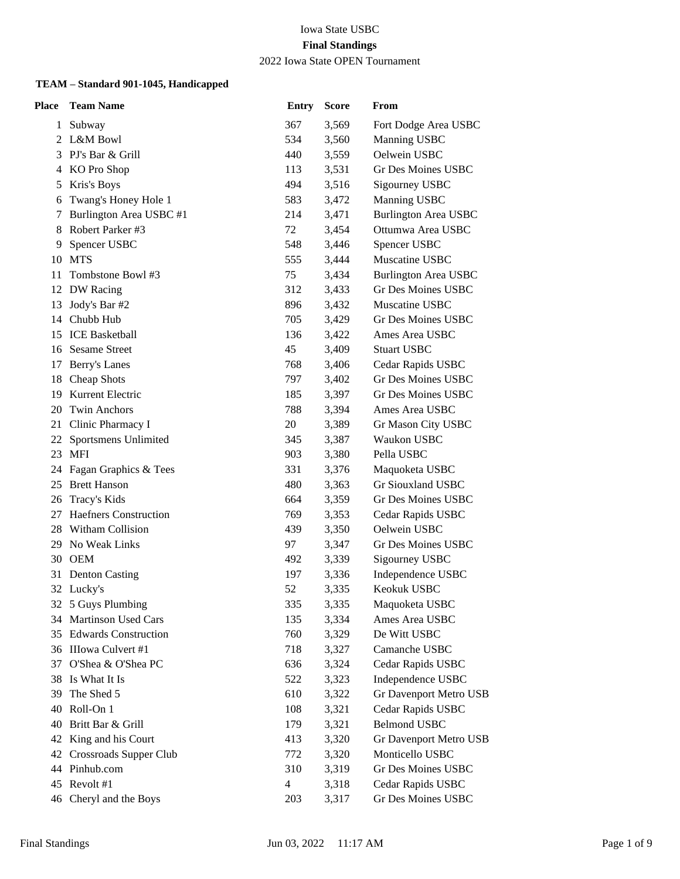#### Iowa State USBC **Final Standings** 2022 Iowa State OPEN Tournament

| <b>Place</b> | <b>Team Name</b>             | <b>Entry</b>          | <b>Score</b> | From                                    |
|--------------|------------------------------|-----------------------|--------------|-----------------------------------------|
| 1            | Subway                       | 367                   | 3,569        | Fort Dodge Area USBC                    |
| 2            | L&M Bowl                     | 534                   | 3,560        | Manning USBC                            |
| 3            | PJ's Bar & Grill             | 440                   | 3,559        | Oelwein USBC                            |
| 4            | KO Pro Shop                  | 113                   | 3,531        | Gr Des Moines USBC                      |
| 5            | Kris's Boys                  | 494                   | 3,516        | Sigourney USBC                          |
| 6            | Twang's Honey Hole 1         | 583                   | 3,472        | Manning USBC                            |
| 7            | Burlington Area USBC #1      | 214                   | 3,471        | <b>Burlington Area USBC</b>             |
| 8            | Robert Parker #3             | 72                    | 3,454        | Ottumwa Area USBC                       |
| 9            | Spencer USBC                 | 548                   | 3,446        | Spencer USBC                            |
| 10           | <b>MTS</b>                   | 555                   | 3,444        | Muscatine USBC                          |
| 11           | Tombstone Bowl #3            | 75                    | 3,434        | <b>Burlington Area USBC</b>             |
| 12           | DW Racing                    | 312                   | 3,433        | Gr Des Moines USBC                      |
| 13           | Jody's Bar #2                | 896                   | 3,432        | Muscatine USBC                          |
| 14           | Chubb Hub                    | 705                   | 3,429        | Gr Des Moines USBC                      |
| 15           | <b>ICE Basketball</b>        | 136                   | 3,422        | Ames Area USBC                          |
|              | 16 Sesame Street             | 45                    | 3,409        | <b>Stuart USBC</b>                      |
| 17           | Berry's Lanes                | 768                   | 3,406        | Cedar Rapids USBC                       |
| 18           | Cheap Shots                  | 797                   | 3,402        | Gr Des Moines USBC                      |
| 19           | Kurrent Electric             | 185                   | 3,397        | Gr Des Moines USBC                      |
| 20           | <b>Twin Anchors</b>          | 788                   | 3,394        | Ames Area USBC                          |
|              | 21 Clinic Pharmacy I         | 20                    | 3,389        | Gr Mason City USBC                      |
| 22           | Sportsmens Unlimited         | 345                   | 3,387        | Waukon USBC                             |
|              | 23 MFI                       | 903                   | 3,380        | Pella USBC                              |
|              | 24 Fagan Graphics & Tees     | 331                   | 3,376        | Maquoketa USBC                          |
|              | 25 Brett Hanson              | 480                   | 3,363        | Gr Siouxland USBC                       |
| 26           | Tracy's Kids                 | 664                   | 3,359        | Gr Des Moines USBC                      |
| 27           | <b>Haefners Construction</b> | 769                   | 3,353        | Cedar Rapids USBC                       |
| 28           | Witham Collision             | 439                   | 3,350        | Oelwein USBC                            |
| 29.          | No Weak Links                | 97                    | 3,347        | Gr Des Moines USBC                      |
| 30           | <b>OEM</b>                   | 492                   | 3,339        | Sigourney USBC                          |
| 31           | <b>Denton Casting</b>        | 197                   | 3,336        | Independence USBC                       |
|              | 32 Lucky's                   | 52                    | 3,335        | Keokuk USBC                             |
|              | 32 5 Guys Plumbing           | 335                   | 3,335        | Maquoketa USBC                          |
| 34           | Martinson Used Cars          | 135                   | 3,334        | Ames Area USBC                          |
| 35           | <b>Edwards Construction</b>  | 760                   | 3,329        | De Witt USBC                            |
|              | 36 IIIowa Culvert #1         | 718                   | 3,327        | Camanche USBC                           |
|              | 37 O'Shea & O'Shea PC        | 636                   | 3,324        | Cedar Rapids USBC                       |
| 38           | Is What It Is                | 522                   | 3,323        | Independence USBC                       |
| 39           | The Shed 5                   | 610                   | 3,322        | Gr Davenport Metro USB                  |
| 40           | Roll-On 1                    | 108                   | 3,321        | Cedar Rapids USBC                       |
| 40           | Britt Bar & Grill            | 179                   | 3,321        | <b>Belmond USBC</b>                     |
| 42           | King and his Court           | 413                   | 3,320        | Gr Davenport Metro USB                  |
| 42           | Crossroads Supper Club       | 772                   | 3,320        | Monticello USBC                         |
| 44           | Pinhub.com<br>Revolt #1      | 310<br>$\overline{4}$ | 3,319        | Gr Des Moines USBC                      |
| 45           |                              |                       | 3,318        | Cedar Rapids USBC<br>Gr Des Moines USBC |
| 46           | Cheryl and the Boys          | 203                   | 3,317        |                                         |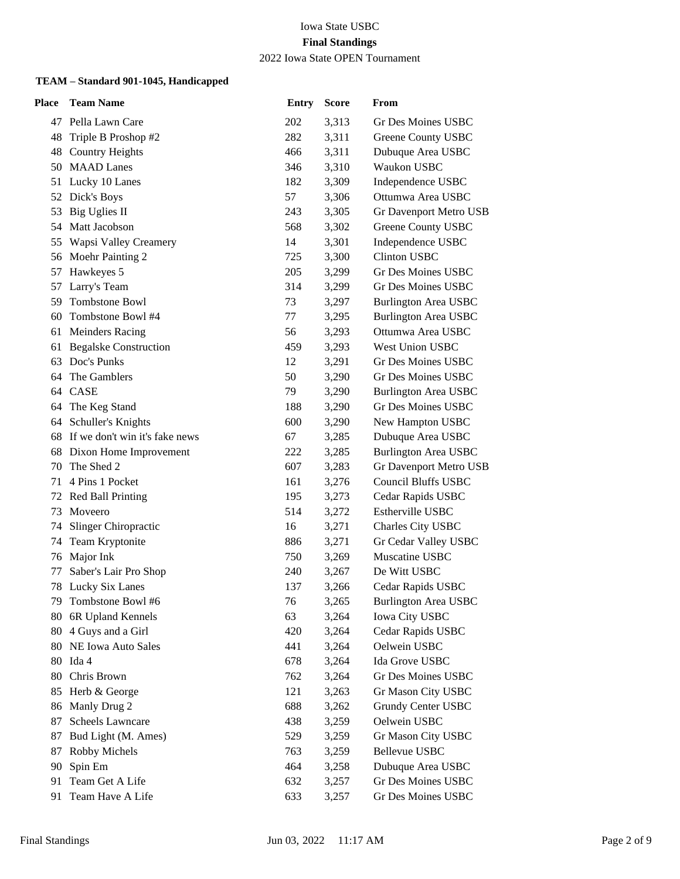2022 Iowa State OPEN Tournament

| <b>Place</b> | <b>Team Name</b>               | <b>Entry</b> | <b>Score</b> | From                        |
|--------------|--------------------------------|--------------|--------------|-----------------------------|
|              | 47 Pella Lawn Care             | 202          | 3,313        | Gr Des Moines USBC          |
| 48           | Triple B Proshop #2            | 282          | 3,311        | Greene County USBC          |
| 48           | <b>Country Heights</b>         | 466          | 3,311        | Dubuque Area USBC           |
| 50           | <b>MAAD</b> Lanes              | 346          | 3,310        | Waukon USBC                 |
| 51           | Lucky 10 Lanes                 | 182          | 3,309        | Independence USBC           |
| 52           | Dick's Boys                    | 57           | 3,306        | Ottumwa Area USBC           |
| 53           | Big Uglies II                  | 243          | 3,305        | Gr Davenport Metro USB      |
| 54           | Matt Jacobson                  | 568          | 3,302        | Greene County USBC          |
| 55           | Wapsi Valley Creamery          | 14           | 3,301        | Independence USBC           |
|              | 56 Moehr Painting 2            | 725          | 3,300        | <b>Clinton USBC</b>         |
| 57           | Hawkeyes 5                     | 205          | 3,299        | Gr Des Moines USBC          |
| 57           | Larry's Team                   | 314          | 3,299        | Gr Des Moines USBC          |
| 59           | Tombstone Bowl                 | 73           | 3,297        | <b>Burlington Area USBC</b> |
| 60           | Tombstone Bowl #4              | 77           | 3,295        | <b>Burlington Area USBC</b> |
| 61           | <b>Meinders Racing</b>         | 56           | 3,293        | Ottumwa Area USBC           |
| 61           | <b>Begalske Construction</b>   | 459          | 3,293        | West Union USBC             |
| 63           | Doc's Punks                    | 12           | 3,291        | Gr Des Moines USBC          |
| 64           | The Gamblers                   | 50           | 3,290        | Gr Des Moines USBC          |
|              | 64 CASE                        | 79           | 3,290        | <b>Burlington Area USBC</b> |
| 64           | The Keg Stand                  | 188          | 3,290        | Gr Des Moines USBC          |
|              | 64 Schuller's Knights          | 600          | 3,290        | New Hampton USBC            |
| 68           | If we don't win it's fake news | 67           | 3,285        | Dubuque Area USBC           |
| 68           | Dixon Home Improvement         | 222          | 3,285        | <b>Burlington Area USBC</b> |
| 70           | The Shed 2                     | 607          | 3,283        | Gr Davenport Metro USB      |
| 71           | 4 Pins 1 Pocket                | 161          | 3,276        | <b>Council Bluffs USBC</b>  |
| 72           | <b>Red Ball Printing</b>       | 195          | 3,273        | Cedar Rapids USBC           |
| 73           | Moveero                        | 514          | 3,272        | Estherville USBC            |
| 74           | Slinger Chiropractic           | 16           | 3,271        | Charles City USBC           |
| 74           | Team Kryptonite                | 886          | 3,271        | Gr Cedar Valley USBC        |
| 76           | Major Ink                      | 750          | 3,269        | Muscatine USBC              |
| 77           | Saber's Lair Pro Shop          | 240          | 3,267        | De Witt USBC                |
| 78           | Lucky Six Lanes                | 137          | 3,266        | Cedar Rapids USBC           |
| 79.          | Tombstone Bowl #6              | 76           | 3,265        | <b>Burlington Area USBC</b> |
| 80           | 6R Upland Kennels              | 63           | 3,264        | <b>Iowa City USBC</b>       |
| 80           | 4 Guys and a Girl              | 420          | 3,264        | Cedar Rapids USBC           |
| 80           | NE Iowa Auto Sales             | 441          | 3,264        | Oelwein USBC                |
|              | 80 Ida 4                       | 678          | 3,264        | Ida Grove USBC              |
| 80           | Chris Brown                    | 762          | 3,264        | <b>Gr Des Moines USBC</b>   |
| 85           | Herb & George                  | 121          | 3,263        | Gr Mason City USBC          |
| 86           | Manly Drug 2                   | 688          | 3,262        | Grundy Center USBC          |
| 87           | Scheels Lawncare               | 438          | 3,259        | Oelwein USBC                |
| 87           | Bud Light (M. Ames)            | 529          | 3,259        | Gr Mason City USBC          |
| 87           | Robby Michels                  | 763          | 3,259        | <b>Bellevue USBC</b>        |
| 90           | Spin Em                        | 464          | 3,258        | Dubuque Area USBC           |
| 91           | Team Get A Life                | 632          | 3,257        | Gr Des Moines USBC          |
| 91           | Team Have A Life               | 633          | 3,257        | Gr Des Moines USBC          |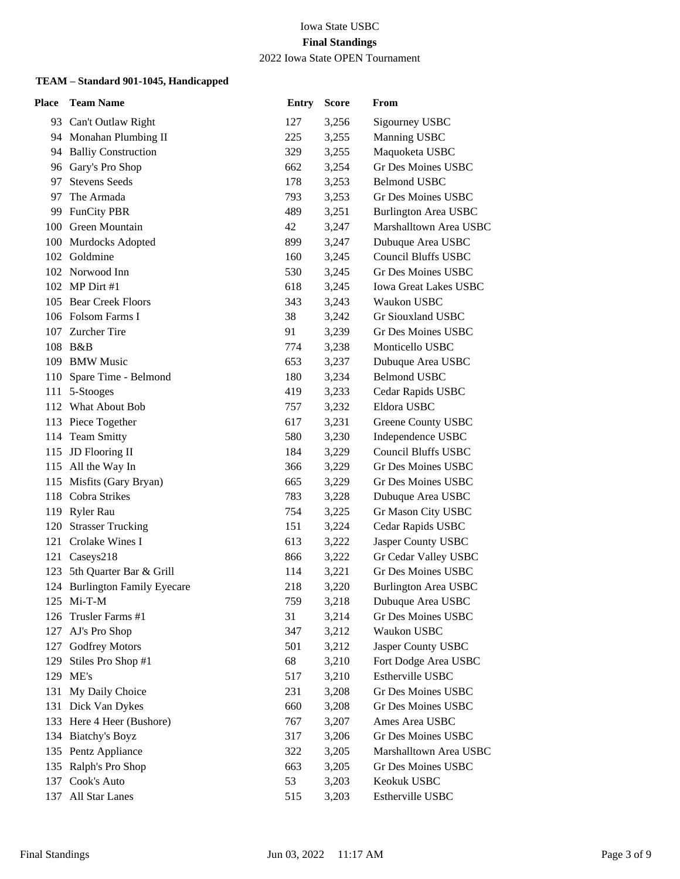2022 Iowa State OPEN Tournament

| Place | <b>Team Name</b>                            | <b>Entry</b> | <b>Score</b>   | From                                    |
|-------|---------------------------------------------|--------------|----------------|-----------------------------------------|
|       | 93 Can't Outlaw Right                       | 127          | 3,256          | Sigourney USBC                          |
|       | 94 Monahan Plumbing II                      | 225          | 3,255          | Manning USBC                            |
|       | 94 Balliy Construction                      | 329          | 3,255          | Maquoketa USBC                          |
|       | 96 Gary's Pro Shop                          | 662          | 3,254          | <b>Gr Des Moines USBC</b>               |
| 97    | <b>Stevens Seeds</b>                        | 178          | 3,253          | <b>Belmond USBC</b>                     |
| 97    | The Armada                                  | 793          | 3,253          | <b>Gr Des Moines USBC</b>               |
| 99    | <b>FunCity PBR</b>                          | 489          | 3,251          | <b>Burlington Area USBC</b>             |
|       | 100 Green Mountain                          | 42           | 3,247          | Marshalltown Area USBC                  |
|       | 100 Murdocks Adopted                        | 899          | 3,247          | Dubuque Area USBC                       |
|       | 102 Goldmine                                | 160          | 3,245          | <b>Council Bluffs USBC</b>              |
|       | 102 Norwood Inn                             | 530          | 3,245          | Gr Des Moines USBC                      |
|       | 102 MP Dirt #1                              | 618          | 3,245          | <b>Iowa Great Lakes USBC</b>            |
|       | 105 Bear Creek Floors                       | 343          | 3,243          | Waukon USBC                             |
|       | 106 Folsom Farms I                          | 38           | 3,242          | Gr Siouxland USBC                       |
|       | 107 Zurcher Tire                            | 91           | 3,239          | Gr Des Moines USBC                      |
|       | 108 B&B                                     | 774          | 3,238          | Monticello USBC                         |
|       | 109 BMW Music                               | 653          | 3,237          | Dubuque Area USBC                       |
|       | 110 Spare Time - Belmond                    | 180          | 3,234          | <b>Belmond USBC</b>                     |
|       | 111 5-Stooges                               | 419          | 3,233          | Cedar Rapids USBC                       |
|       | 112 What About Bob                          | 757          | 3,232          | Eldora USBC                             |
|       | 113 Piece Together                          | 617          | 3,231          | Greene County USBC                      |
|       | 114 Team Smitty                             | 580          | 3,230          | Independence USBC                       |
|       | 115 JD Flooring II                          | 184          | 3,229          | <b>Council Bluffs USBC</b>              |
|       | 115 All the Way In                          | 366          | 3,229          | Gr Des Moines USBC                      |
|       | 115 Misfits (Gary Bryan)                    | 665          | 3,229          | Gr Des Moines USBC                      |
|       | 118 Cobra Strikes                           | 783          | 3,228          | Dubuque Area USBC                       |
|       | 119 Ryler Rau                               | 754          | 3,225          | Gr Mason City USBC                      |
|       | 120 Strasser Trucking                       | 151          | 3,224          | Cedar Rapids USBC                       |
|       | 121 Crolake Wines I                         | 613          | 3,222          | Jasper County USBC                      |
| 121   | Caseys218                                   | 866          | 3,222          | Gr Cedar Valley USBC                    |
| 123   | 5th Quarter Bar & Grill                     | 114          | 3,221          | Gr Des Moines USBC                      |
|       | 124 Burlington Family Eyecare<br>125 Mi-T-M | 218          | 3,220          | <b>Burlington Area USBC</b>             |
| 126   | Trusler Farms #1                            | 759<br>31    | 3,218<br>3,214 | Dubuque Area USBC<br>Gr Des Moines USBC |
| 127   | AJ's Pro Shop                               | 347          | 3,212          | Waukon USBC                             |
| 127   | Godfrey Motors                              | 501          | 3,212          | Jasper County USBC                      |
| 129   | Stiles Pro Shop #1                          | 68           | 3,210          | Fort Dodge Area USBC                    |
| 129   | ME's                                        | 517          | 3,210          | Estherville USBC                        |
| 131   | My Daily Choice                             | 231          | 3,208          | <b>Gr Des Moines USBC</b>               |
|       | 131 Dick Van Dykes                          | 660          | 3,208          | <b>Gr Des Moines USBC</b>               |
|       | 133 Here 4 Heer (Bushore)                   | 767          | 3,207          | Ames Area USBC                          |
| 134   | <b>Biatchy's Boyz</b>                       | 317          | 3,206          | Gr Des Moines USBC                      |
|       | 135 Pentz Appliance                         | 322          | 3,205          | Marshalltown Area USBC                  |
|       | 135 Ralph's Pro Shop                        | 663          | 3,205          | Gr Des Moines USBC                      |
| 137   | Cook's Auto                                 | 53           | 3,203          | Keokuk USBC                             |
| 137   | All Star Lanes                              | 515          | 3,203          | Estherville USBC                        |
|       |                                             |              |                |                                         |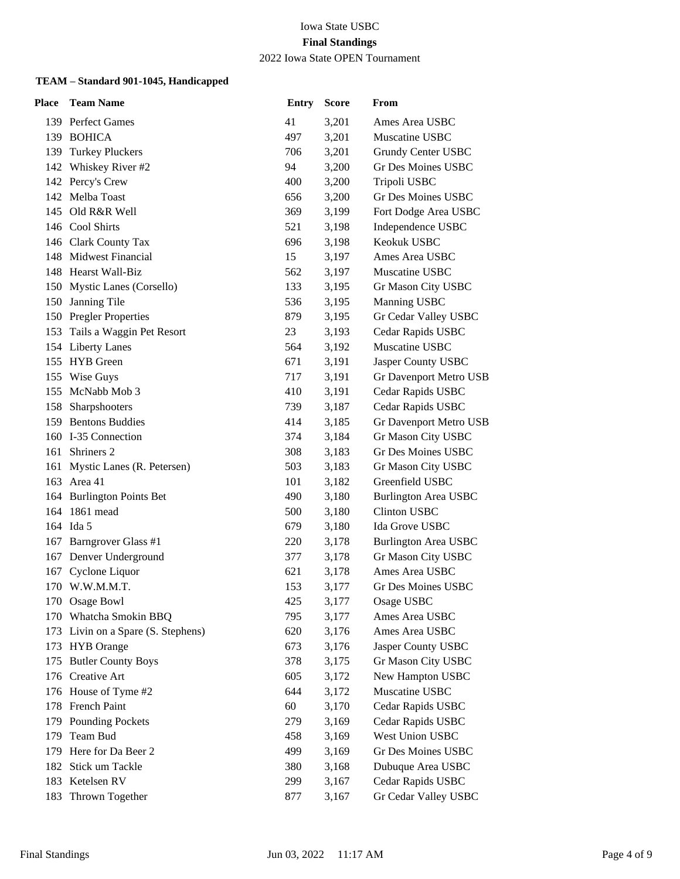2022 Iowa State OPEN Tournament

| Place | <b>Team Name</b>               | <b>Entry</b> | <b>Score</b> | From                          |
|-------|--------------------------------|--------------|--------------|-------------------------------|
|       | 139 Perfect Games              | 41           | 3,201        | Ames Area USBC                |
|       | 139 BOHICA                     | 497          | 3,201        | Muscatine USBC                |
| 139   | <b>Turkey Pluckers</b>         | 706          | 3,201        | Grundy Center USBC            |
|       | 142 Whiskey River #2           | 94           | 3,200        | <b>Gr Des Moines USBC</b>     |
|       | 142 Percy's Crew               | 400          | 3,200        | Tripoli USBC                  |
| 142   | Melba Toast                    | 656          | 3,200        | <b>Gr Des Moines USBC</b>     |
| 145   | Old R&R Well                   | 369          | 3,199        | Fort Dodge Area USBC          |
|       | 146 Cool Shirts                | 521          | 3,198        | Independence USBC             |
|       | 146 Clark County Tax           | 696          | 3,198        | Keokuk USBC                   |
|       | 148 Midwest Financial          | 15           | 3,197        | Ames Area USBC                |
|       | 148 Hearst Wall-Biz            | 562          | 3,197        | Muscatine USBC                |
|       | 150 Mystic Lanes (Corsello)    | 133          | 3,195        | Gr Mason City USBC            |
|       | 150 Janning Tile               | 536          | 3,195        | Manning USBC                  |
|       | 150 Pregler Properties         | 879          | 3,195        | Gr Cedar Valley USBC          |
|       | 153 Tails a Waggin Pet Resort  | 23           | 3,193        | Cedar Rapids USBC             |
|       | 154 Liberty Lanes              | 564          | 3,192        | Muscatine USBC                |
|       | 155 HYB Green                  | 671          | 3,191        | Jasper County USBC            |
|       | 155 Wise Guys                  | 717          | 3,191        | <b>Gr Davenport Metro USB</b> |
| 155   | McNabb Mob 3                   | 410          | 3,191        | Cedar Rapids USBC             |
|       | 158 Sharpshooters              | 739          | 3,187        | Cedar Rapids USBC             |
|       | 159 Bentons Buddies            | 414          | 3,185        | Gr Davenport Metro USB        |
|       | 160 I-35 Connection            | 374          | 3,184        | Gr Mason City USBC            |
|       | 161 Shriners 2                 | 308          | 3,183        | <b>Gr Des Moines USBC</b>     |
|       | 161 Mystic Lanes (R. Petersen) | 503          | 3,183        | Gr Mason City USBC            |
| 163   | Area 41                        | 101          | 3,182        | Greenfield USBC               |
|       | 164 Burlington Points Bet      | 490          | 3,180        | <b>Burlington Area USBC</b>   |
| 164   | 1861 mead                      | 500          | 3,180        | Clinton USBC                  |
|       | 164 Ida 5                      | 679          | 3,180        | Ida Grove USBC                |
|       | 167 Barngrover Glass #1        | 220          | 3,178        | <b>Burlington Area USBC</b>   |
| 167   | Denver Underground             | 377          | 3,178        | Gr Mason City USBC            |
| 167   | Cyclone Liquor                 | 621          | 3,178        | Ames Area USBC                |
|       | 170 W.W.M.M.T.                 | 153          | 3,177        | Gr Des Moines USBC            |
|       | 170 Osage Bowl                 | 425          | 3,177        | Osage USBC                    |
|       | 170 Whatcha Smokin BBQ         | 795          | 3,177        | Ames Area USBC                |
| 173   | Livin on a Spare (S. Stephens) | 620          | 3,176        | Ames Area USBC                |
| 173   | <b>HYB</b> Orange              | 673          | 3,176        | Jasper County USBC            |
| 175   | <b>Butler County Boys</b>      | 378          | 3,175        | Gr Mason City USBC            |
|       | 176 Creative Art               | 605          | 3,172        | New Hampton USBC              |
|       | 176 House of Tyme #2           | 644          | 3,172        | Muscatine USBC                |
|       | 178 French Paint               | 60           | 3,170        | Cedar Rapids USBC             |
|       | 179 Pounding Pockets           | 279          | 3,169        | Cedar Rapids USBC             |
| 179   | Team Bud                       | 458          | 3,169        | West Union USBC               |
| 179   | Here for Da Beer 2             | 499          | 3,169        | Gr Des Moines USBC            |
| 182   | Stick um Tackle                | 380          | 3,168        | Dubuque Area USBC             |
| 183   | Ketelsen RV                    | 299          | 3,167        | Cedar Rapids USBC             |
| 183   | Thrown Together                | 877          | 3,167        | Gr Cedar Valley USBC          |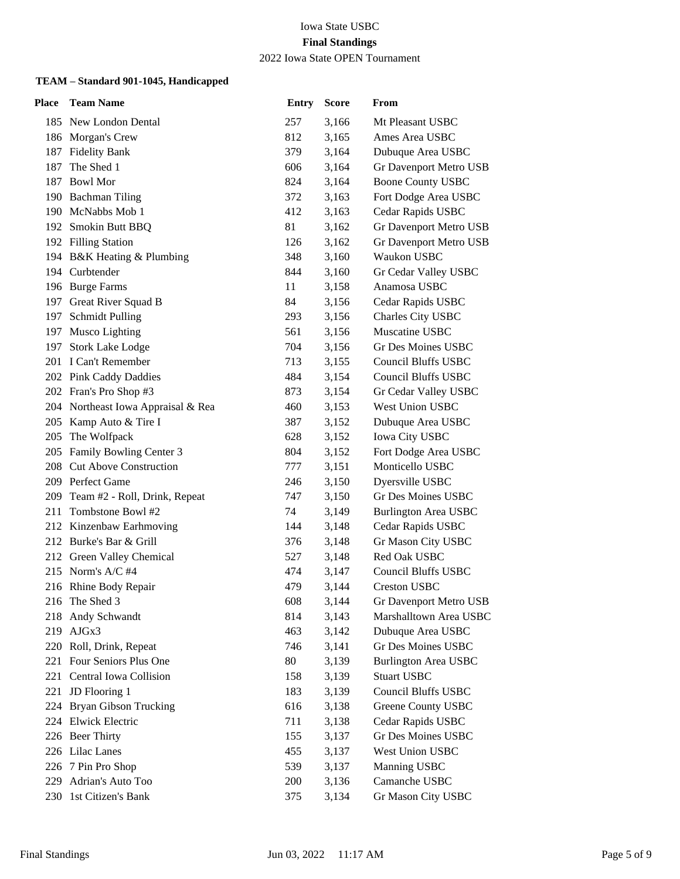2022 Iowa State OPEN Tournament

| Place | <b>Team Name</b>                   | <b>Entry</b> | <b>Score</b> | From                        |
|-------|------------------------------------|--------------|--------------|-----------------------------|
|       | 185 New London Dental              | 257          | 3,166        | Mt Pleasant USBC            |
|       | 186 Morgan's Crew                  | 812          | 3,165        | Ames Area USBC              |
|       | 187 Fidelity Bank                  | 379          | 3,164        | Dubuque Area USBC           |
| 187   | The Shed 1                         | 606          | 3,164        | Gr Davenport Metro USB      |
|       | 187 Bowl Mor                       | 824          | 3,164        | <b>Boone County USBC</b>    |
|       | 190 Bachman Tiling                 | 372          | 3,163        | Fort Dodge Area USBC        |
|       | 190 McNabbs Mob 1                  | 412          | 3,163        | Cedar Rapids USBC           |
|       | 192 Smokin Butt BBQ                | 81           | 3,162        | Gr Davenport Metro USB      |
|       | 192 Filling Station                | 126          | 3,162        | Gr Davenport Metro USB      |
|       | 194 B&K Heating & Plumbing         | 348          | 3,160        | Waukon USBC                 |
|       | 194 Curbtender                     | 844          | 3,160        | Gr Cedar Valley USBC        |
|       | 196 Burge Farms                    | 11           | 3,158        | Anamosa USBC                |
|       | 197 Great River Squad B            | 84           | 3,156        | Cedar Rapids USBC           |
|       | 197 Schmidt Pulling                | 293          | 3,156        | Charles City USBC           |
|       | 197 Musco Lighting                 | 561          | 3,156        | Muscatine USBC              |
| 197   | <b>Stork Lake Lodge</b>            | 704          | 3,156        | Gr Des Moines USBC          |
|       | 201 I Can't Remember               | 713          | 3,155        | <b>Council Bluffs USBC</b>  |
|       | 202 Pink Caddy Daddies             | 484          | 3,154        | <b>Council Bluffs USBC</b>  |
|       | 202 Fran's Pro Shop #3             | 873          | 3,154        | Gr Cedar Valley USBC        |
|       | 204 Northeast Iowa Appraisal & Rea | 460          | 3,153        | West Union USBC             |
|       | 205 Kamp Auto & Tire I             | 387          | 3,152        | Dubuque Area USBC           |
|       | 205 The Wolfpack                   | 628          | 3,152        | Iowa City USBC              |
|       | 205 Family Bowling Center 3        | 804          | 3,152        | Fort Dodge Area USBC        |
|       | 208 Cut Above Construction         | 777          | 3,151        | Monticello USBC             |
|       | 209 Perfect Game                   | 246          | 3,150        | Dyersville USBC             |
|       | 209 Team #2 - Roll, Drink, Repeat  | 747          | 3,150        | Gr Des Moines USBC          |
| 211   | Tombstone Bowl #2                  | 74           | 3,149        | <b>Burlington Area USBC</b> |
|       | 212 Kinzenbaw Earhmoving           | 144          | 3,148        | Cedar Rapids USBC           |
|       | 212 Burke's Bar & Grill            | 376          | 3,148        | Gr Mason City USBC          |
|       | 212 Green Valley Chemical          | 527          | 3,148        | Red Oak USBC                |
|       | 215 Norm's A/C #4                  | 474          | 3,147        | <b>Council Bluffs USBC</b>  |
|       | 216 Rhine Body Repair              | 479          | 3,144        | <b>Creston USBC</b>         |
|       | 216 The Shed 3                     | 608          | 3,144        | Gr Davenport Metro USB      |
| 218   | Andy Schwandt                      | 814          | 3,143        | Marshalltown Area USBC      |
| 219   | AJGx3                              | 463          | 3,142        | Dubuque Area USBC           |
|       | 220 Roll, Drink, Repeat            | 746          | 3,141        | Gr Des Moines USBC          |
|       | 221 Four Seniors Plus One          | 80           | 3,139        | <b>Burlington Area USBC</b> |
| 221   | Central Iowa Collision             | 158          | 3,139        | <b>Stuart USBC</b>          |
| 221   | JD Flooring 1                      | 183          | 3,139        | <b>Council Bluffs USBC</b>  |
| 224   | Bryan Gibson Trucking              | 616          | 3,138        | <b>Greene County USBC</b>   |
| 224   | Elwick Electric                    | 711          | 3,138        | Cedar Rapids USBC           |
|       | 226 Beer Thirty                    | 155          | 3,137        | Gr Des Moines USBC          |
|       | 226 Lilac Lanes                    | 455          | 3,137        | West Union USBC             |
|       | 226 7 Pin Pro Shop                 | 539          | 3,137        | Manning USBC                |
| 229   | Adrian's Auto Too                  | 200          | 3,136        | Camanche USBC               |
| 230   | 1st Citizen's Bank                 | 375          | 3,134        | Gr Mason City USBC          |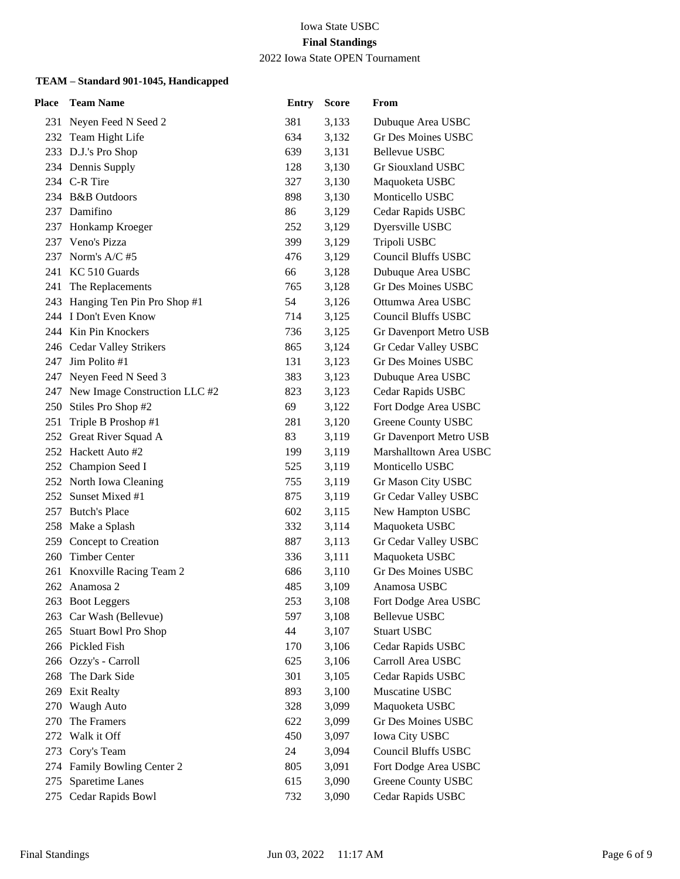2022 Iowa State OPEN Tournament

| Place | <b>Team Name</b>                  | <b>Entry</b> | <b>Score</b> | From                       |
|-------|-----------------------------------|--------------|--------------|----------------------------|
|       | 231 Neyen Feed N Seed 2           | 381          | 3,133        | Dubuque Area USBC          |
|       | 232 Team Hight Life               | 634          | 3,132        | Gr Des Moines USBC         |
|       | 233 D.J.'s Pro Shop               | 639          | 3,131        | Bellevue USBC              |
|       | 234 Dennis Supply                 | 128          | 3,130        | Gr Siouxland USBC          |
|       | 234 C-R Tire                      | 327          | 3,130        | Maquoketa USBC             |
|       | 234 B&B Outdoors                  | 898          | 3,130        | Monticello USBC            |
|       | 237 Damifino                      | 86           | 3,129        | Cedar Rapids USBC          |
|       | 237 Honkamp Kroeger               | 252          | 3,129        | Dyersville USBC            |
|       | 237 Veno's Pizza                  | 399          | 3,129        | Tripoli USBC               |
|       | 237 Norm's A/C #5                 | 476          | 3,129        | <b>Council Bluffs USBC</b> |
|       | 241 KC 510 Guards                 | 66           | 3,128        | Dubuque Area USBC          |
|       | 241 The Replacements              | 765          | 3,128        | <b>Gr Des Moines USBC</b>  |
|       | 243 Hanging Ten Pin Pro Shop #1   | 54           | 3,126        | Ottumwa Area USBC          |
|       | 244 I Don't Even Know             | 714          | 3,125        | <b>Council Bluffs USBC</b> |
|       | 244 Kin Pin Knockers              | 736          | 3,125        | Gr Davenport Metro USB     |
|       | 246 Cedar Valley Strikers         | 865          | 3,124        | Gr Cedar Valley USBC       |
|       | 247 Jim Polito #1                 | 131          | 3,123        | Gr Des Moines USBC         |
| 247   | Neyen Feed N Seed 3               | 383          | 3,123        | Dubuque Area USBC          |
|       | 247 New Image Construction LLC #2 | 823          | 3,123        | Cedar Rapids USBC          |
|       | 250 Stiles Pro Shop #2            | 69           | 3,122        | Fort Dodge Area USBC       |
| 251   | Triple B Proshop #1               | 281          | 3,120        | Greene County USBC         |
|       | 252 Great River Squad A           | 83           | 3,119        | Gr Davenport Metro USB     |
|       | 252 Hackett Auto #2               | 199          | 3,119        | Marshalltown Area USBC     |
|       | 252 Champion Seed I               | 525          | 3,119        | Monticello USBC            |
|       | 252 North Iowa Cleaning           | 755          | 3,119        | Gr Mason City USBC         |
| 252   | Sunset Mixed #1                   | 875          | 3,119        | Gr Cedar Valley USBC       |
| 257   | <b>Butch's Place</b>              | 602          | 3,115        | New Hampton USBC           |
|       | 258 Make a Splash                 | 332          | 3,114        | Maquoketa USBC             |
|       | 259 Concept to Creation           | 887          | 3,113        | Gr Cedar Valley USBC       |
|       | 260 Timber Center                 | 336          | 3,111        | Maquoketa USBC             |
| 261   | Knoxville Racing Team 2           | 686          | 3,110        | <b>Gr Des Moines USBC</b>  |
|       | 262 Anamosa 2                     | 485          | 3,109        | Anamosa USBC               |
|       | 263 Boot Leggers                  | 253          | 3,108        | Fort Dodge Area USBC       |
| 263   | Car Wash (Bellevue)               | 597          | 3,108        | <b>Bellevue USBC</b>       |
| 265   | <b>Stuart Bowl Pro Shop</b>       | 44           | 3,107        | <b>Stuart USBC</b>         |
|       | 266 Pickled Fish                  | 170          | 3,106        | Cedar Rapids USBC          |
|       | 266 Ozzy's - Carroll              | 625          | 3,106        | Carroll Area USBC          |
| 268   | The Dark Side                     | 301          | 3,105        | Cedar Rapids USBC          |
| 269   | <b>Exit Realty</b>                | 893          | 3,100        | Muscatine USBC             |
| 270   | <b>Waugh Auto</b>                 | 328          | 3,099        | Maquoketa USBC             |
| 270   | The Framers                       | 622          | 3,099        | <b>Gr Des Moines USBC</b>  |
| 272   | Walk it Off                       | 450          | 3,097        | Iowa City USBC             |
| 273   | Cory's Team                       | 24           | 3,094        | <b>Council Bluffs USBC</b> |
| 274   | Family Bowling Center 2           | 805          | 3,091        | Fort Dodge Area USBC       |
| 275   | Sparetime Lanes                   | 615          | 3,090        | Greene County USBC         |
| 275   | Cedar Rapids Bowl                 | 732          | 3,090        | Cedar Rapids USBC          |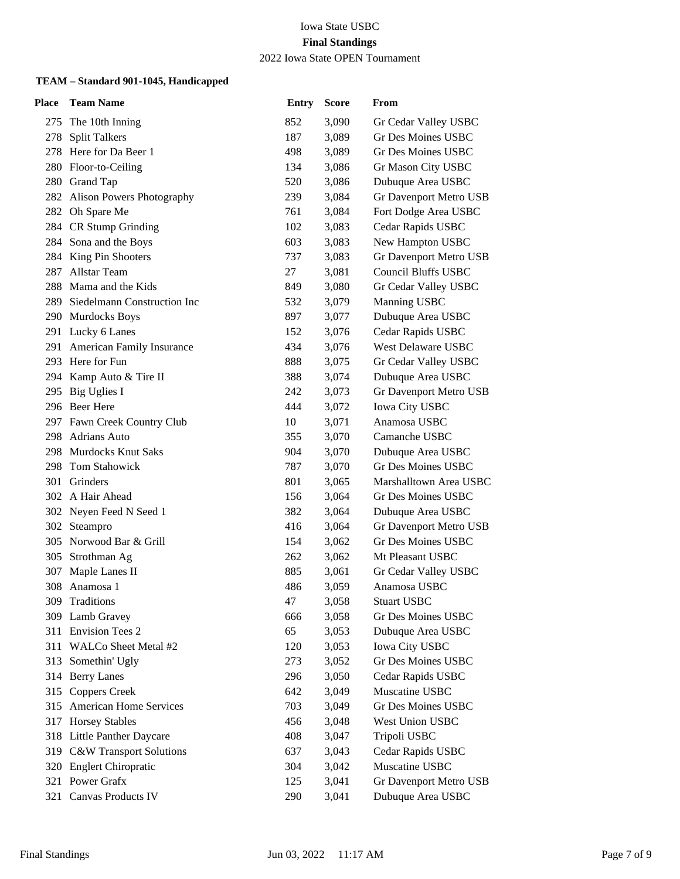2022 Iowa State OPEN Tournament

| Place | <b>Team Name</b>                | <b>Entry</b> | <b>Score</b> | From                       |
|-------|---------------------------------|--------------|--------------|----------------------------|
|       | 275 The 10th Inning             | 852          | 3,090        | Gr Cedar Valley USBC       |
| 278   | <b>Split Talkers</b>            | 187          | 3,089        | Gr Des Moines USBC         |
|       | 278 Here for Da Beer 1          | 498          | 3,089        | <b>Gr Des Moines USBC</b>  |
|       | 280 Floor-to-Ceiling            | 134          | 3,086        | Gr Mason City USBC         |
|       | 280 Grand Tap                   | 520          | 3,086        | Dubuque Area USBC          |
|       | 282 Alison Powers Photography   | 239          | 3,084        | Gr Davenport Metro USB     |
|       | 282 Oh Spare Me                 | 761          | 3,084        | Fort Dodge Area USBC       |
|       | 284 CR Stump Grinding           | 102          | 3,083        | Cedar Rapids USBC          |
|       | 284 Sona and the Boys           | 603          | 3,083        | New Hampton USBC           |
|       | 284 King Pin Shooters           | 737          | 3,083        | Gr Davenport Metro USB     |
| 287   | Allstar Team                    | 27           | 3,081        | <b>Council Bluffs USBC</b> |
|       | 288 Mama and the Kids           | 849          | 3,080        | Gr Cedar Valley USBC       |
|       | 289 Siedelmann Construction Inc | 532          | 3,079        | Manning USBC               |
|       | 290 Murdocks Boys               | 897          | 3,077        | Dubuque Area USBC          |
|       | 291 Lucky 6 Lanes               | 152          | 3,076        | Cedar Rapids USBC          |
|       | 291 American Family Insurance   | 434          | 3,076        | West Delaware USBC         |
|       | 293 Here for Fun                | 888          | 3,075        | Gr Cedar Valley USBC       |
|       | 294 Kamp Auto & Tire II         | 388          | 3,074        | Dubuque Area USBC          |
| 295   | Big Uglies I                    | 242          | 3,073        | Gr Davenport Metro USB     |
|       | 296 Beer Here                   | 444          | 3,072        | <b>Iowa City USBC</b>      |
|       | 297 Fawn Creek Country Club     | 10           | 3,071        | Anamosa USBC               |
|       | 298 Adrians Auto                | 355          | 3,070        | Camanche USBC              |
|       | 298 Murdocks Knut Saks          | 904          | 3,070        | Dubuque Area USBC          |
|       | 298 Tom Stahowick               | 787          | 3,070        | Gr Des Moines USBC         |
|       | 301 Grinders                    | 801          | 3,065        | Marshalltown Area USBC     |
|       | 302 A Hair Ahead                | 156          | 3,064        | Gr Des Moines USBC         |
|       | 302 Neyen Feed N Seed 1         | 382          | 3,064        | Dubuque Area USBC          |
|       | 302 Steampro                    | 416          | 3,064        | Gr Davenport Metro USB     |
|       | 305 Norwood Bar & Grill         | 154          | 3,062        | <b>Gr Des Moines USBC</b>  |
| 305   | Strothman Ag                    | 262          | 3,062        | Mt Pleasant USBC           |
| 307   | Maple Lanes II                  | 885          | 3,061        | Gr Cedar Valley USBC       |
|       | 308 Anamosa 1                   | 486          | 3,059        | Anamosa USBC               |
|       | 309 Traditions                  | 47           | 3,058        | <b>Stuart USBC</b>         |
| 309   | Lamb Gravey                     | 666          | 3,058        | Gr Des Moines USBC         |
|       | 311 Envision Tees 2             | 65           | 3,053        | Dubuque Area USBC          |
|       | 311 WALCo Sheet Metal #2        | 120          | 3,053        | <b>Iowa City USBC</b>      |
|       | 313 Somethin' Ugly              | 273          | 3,052        | Gr Des Moines USBC         |
|       | 314 Berry Lanes                 | 296          | 3,050        | Cedar Rapids USBC          |
| 315   | <b>Coppers Creek</b>            | 642          | 3,049        | Muscatine USBC             |
|       | 315 American Home Services      | 703          | 3,049        | <b>Gr Des Moines USBC</b>  |
|       | 317 Horsey Stables              | 456          | 3,048        | West Union USBC            |
|       | 318 Little Panther Daycare      | 408          | 3,047        | Tripoli USBC               |
|       | 319 C&W Transport Solutions     | 637          | 3,043        | Cedar Rapids USBC          |
|       | 320 Englert Chiropratic         | 304          | 3,042        | Muscatine USBC             |
|       | 321 Power Grafx                 | 125          | 3,041        | Gr Davenport Metro USB     |
| 321   | Canvas Products IV              | 290          | 3,041        | Dubuque Area USBC          |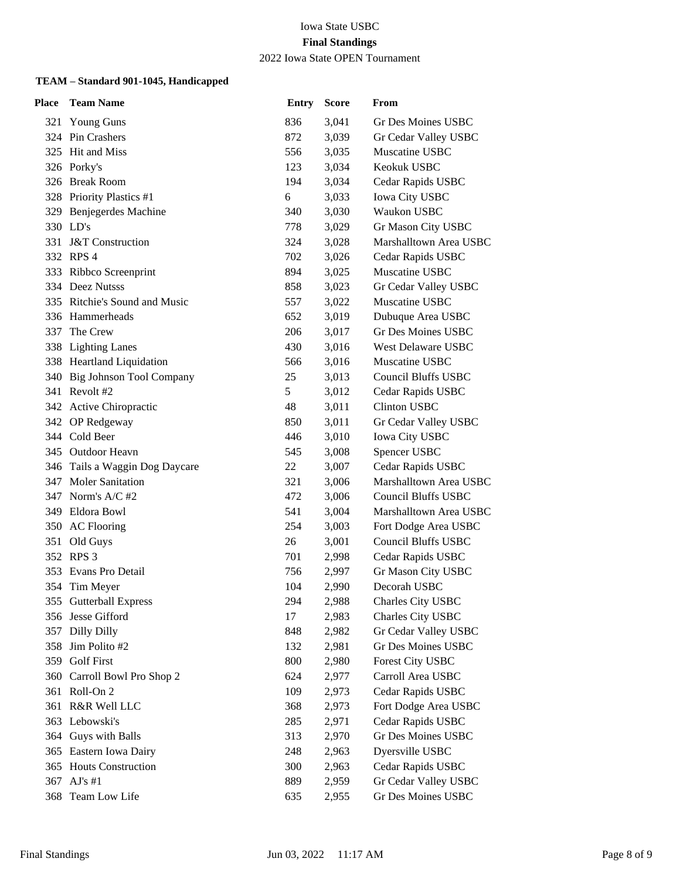2022 Iowa State OPEN Tournament

| Place | <b>Team Name</b>               | <b>Entry</b> | <b>Score</b> | From                       |
|-------|--------------------------------|--------------|--------------|----------------------------|
|       | 321 Young Guns                 | 836          | 3,041        | Gr Des Moines USBC         |
|       | 324 Pin Crashers               | 872          | 3,039        | Gr Cedar Valley USBC       |
|       | 325 Hit and Miss               | 556          | 3,035        | Muscatine USBC             |
|       | 326 Porky's                    | 123          | 3,034        | Keokuk USBC                |
|       | 326 Break Room                 | 194          | 3,034        | Cedar Rapids USBC          |
|       | 328 Priority Plastics #1       | 6            | 3,033        | <b>Iowa City USBC</b>      |
| 329   | Benjegerdes Machine            | 340          | 3,030        | Waukon USBC                |
|       | 330 LD's                       | 778          | 3,029        | Gr Mason City USBC         |
|       | 331 J&T Construction           | 324          | 3,028        | Marshalltown Area USBC     |
|       | 332 RPS 4                      | 702          | 3,026        | Cedar Rapids USBC          |
|       | 333 Ribbco Screenprint         | 894          | 3,025        | Muscatine USBC             |
|       | 334 Deez Nutsss                | 858          | 3,023        | Gr Cedar Valley USBC       |
|       | 335 Ritchie's Sound and Music  | 557          | 3,022        | Muscatine USBC             |
|       | 336 Hammerheads                | 652          | 3,019        | Dubuque Area USBC          |
| 337   | The Crew                       | 206          | 3,017        | <b>Gr Des Moines USBC</b>  |
|       | 338 Lighting Lanes             | 430          | 3,016        | West Delaware USBC         |
|       | 338 Heartland Liquidation      | 566          | 3,016        | Muscatine USBC             |
|       | 340 Big Johnson Tool Company   | 25           | 3,013        | <b>Council Bluffs USBC</b> |
|       | 341 Revolt #2                  | 5            | 3,012        | Cedar Rapids USBC          |
|       | 342 Active Chiropractic        | 48           | 3,011        | Clinton USBC               |
|       | 342 OP Redgeway                | 850          | 3,011        | Gr Cedar Valley USBC       |
|       | 344 Cold Beer                  | 446          | 3,010        | <b>Iowa City USBC</b>      |
|       | 345 Outdoor Heavn              | 545          | 3,008        | Spencer USBC               |
|       | 346 Tails a Waggin Dog Daycare | 22           | 3,007        | Cedar Rapids USBC          |
|       | 347 Moler Sanitation           | 321          | 3,006        | Marshalltown Area USBC     |
|       | 347 Norm's A/C #2              | 472          | 3,006        | <b>Council Bluffs USBC</b> |
|       | 349 Eldora Bowl                | 541          | 3,004        | Marshalltown Area USBC     |
|       | 350 AC Flooring                | 254          | 3,003        | Fort Dodge Area USBC       |
|       | 351 Old Guys                   | 26           | 3,001        | <b>Council Bluffs USBC</b> |
|       | 352 RPS 3                      | 701          | 2,998        | Cedar Rapids USBC          |
|       | 353 Evans Pro Detail           | 756          | 2,997        | Gr Mason City USBC         |
|       | 354 Tim Meyer                  | 104          | 2,990        | Decorah USBC               |
|       | 355 Gutterball Express         | 294          | 2,988        | Charles City USBC          |
|       | 356 Jesse Gifford              | 17           | 2,983        | Charles City USBC          |
| 357   | <b>Dilly Dilly</b>             | 848          | 2,982        | Gr Cedar Valley USBC       |
| 358   | Jim Polito #2                  | 132          | 2,981        | <b>Gr Des Moines USBC</b>  |
|       | 359 Golf First                 | 800          | 2,980        | Forest City USBC           |
|       | 360 Carroll Bowl Pro Shop 2    | 624          | 2,977        | Carroll Area USBC          |
| 361   | Roll-On 2                      | 109          | 2,973        | Cedar Rapids USBC          |
| 361   | R&R Well LLC                   | 368          | 2,973        | Fort Dodge Area USBC       |
| 363   | Lebowski's                     | 285          | 2,971        | Cedar Rapids USBC          |
|       | 364 Guys with Balls            | 313          | 2,970        | Gr Des Moines USBC         |
|       | 365 Eastern Iowa Dairy         | 248          | 2,963        | Dyersville USBC            |
|       | 365 Houts Construction         | 300          | 2,963        | Cedar Rapids USBC          |
| 367   | AJ's #1                        | 889          | 2,959        | Gr Cedar Valley USBC       |
| 368   | Team Low Life                  | 635          | 2,955        | Gr Des Moines USBC         |